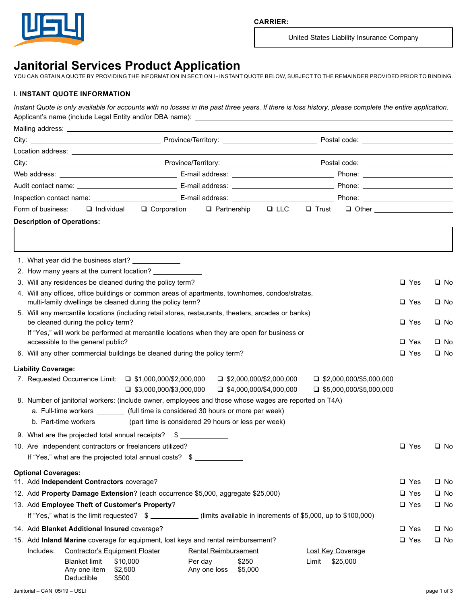

United States Liability Insurance Company

# **Janitorial Services Product Application**

YOU CAN OBTAIN A QUOTE BY PROVIDING THE INFORMATION IN SECTION I - INSTANT QUOTE BELOW, SUBJECT TO THE REMAINDER PROVIDED PRIOR TO BINDING.

## **I. INSTANT QUOTE INFORMATION**

*Instant Quote is only available for accounts with no losses in the past three years. If there is loss history, please complete the entire application.* Applicant's name (include Legal Entity and/or DBA name):

|  | Form of business:<br>$\Box$ Partnership<br>$\Box$ LLC<br>$\Box$ Individual<br>$\Box$ Corporation<br>$\Box$ Trust<br>$\Box$ Other and $\Box$ Other and $\Box$ |            |              |
|--|--------------------------------------------------------------------------------------------------------------------------------------------------------------|------------|--------------|
|  | <b>Description of Operations:</b>                                                                                                                            |            |              |
|  |                                                                                                                                                              |            |              |
|  |                                                                                                                                                              |            |              |
|  | 1. What year did the business start? _____________                                                                                                           |            |              |
|  | 2. How many years at the current location? ___________                                                                                                       |            |              |
|  | 3. Will any residences be cleaned during the policy term?                                                                                                    | $\Box$ Yes | $\square$ No |
|  | 4. Will any offices, office buildings or common areas of apartments, townhomes, condos/stratas,                                                              |            |              |
|  | multi-family dwellings be cleaned during the policy term?                                                                                                    | $\Box$ Yes | $\square$ No |
|  | 5. Will any mercantile locations (including retail stores, restaurants, theaters, arcades or banks)                                                          |            |              |
|  | be cleaned during the policy term?<br>If "Yes," will work be performed at mercantile locations when they are open for business or                            | $\Box$ Yes | $\square$ No |
|  | accessible to the general public?                                                                                                                            | $\Box$ Yes | $\square$ No |
|  | 6. Will any other commercial buildings be cleaned during the policy term?                                                                                    | $\Box$ Yes | $\square$ No |
|  |                                                                                                                                                              |            |              |
|  | <b>Liability Coverage:</b><br>7. Requested Occurrence Limit: □ \$1,000,000/\$2,000,000<br>$\Box$ \$2,000,000/\$2,000,000<br>$\Box$ \$2,000,000/\$5,000,000   |            |              |
|  | $\Box$ \$3,000,000/\$3,000,000<br>$\Box$ \$4,000,000/\$4,000,000<br>$\Box$ \$5,000,000/\$5,000,000                                                           |            |              |
|  | 8. Number of janitorial workers: (include owner, employees and those whose wages are reported on T4A)                                                        |            |              |
|  | a. Full-time workers _________ (full time is considered 30 hours or more per week)                                                                           |            |              |
|  | b. Part-time workers ________ (part time is considered 29 hours or less per week)                                                                            |            |              |
|  | 9. What are the projected total annual receipts? \$                                                                                                          |            |              |
|  | 10. Are independent contractors or freelancers utilized?                                                                                                     | $\Box$ Yes | $\square$ No |
|  | If "Yes," what are the projected total annual costs? \$                                                                                                      |            |              |
|  | <b>Optional Coverages:</b>                                                                                                                                   |            |              |
|  | 11. Add Independent Contractors coverage?                                                                                                                    | $\Box$ Yes | $\square$ No |
|  | 12. Add Property Damage Extension? (each occurrence \$5,000, aggregate \$25,000)                                                                             | $\Box$ Yes | $\square$ No |
|  | 13. Add Employee Theft of Customer's Property?                                                                                                               | $\Box$ Yes | $\square$ No |
|  | If "Yes," what is the limit requested? \$<br>(limits available in increments of \$5,000, up to \$100,000)                                                    |            |              |
|  | 14. Add Blanket Additional Insured coverage?                                                                                                                 | $\Box$ Yes | $\square$ No |
|  | 15. Add Inland Marine coverage for equipment, lost keys and rental reimbursement?                                                                            | $\Box$ Yes | $\square$ No |
|  | Includes:<br><b>Contractor's Equipment Floater</b><br><b>Rental Reimbursement</b><br>Lost Key Coverage                                                       |            |              |
|  | Per day<br>\$250<br>\$25,000<br><b>Blanket limit</b><br>\$10,000<br>Limit                                                                                    |            |              |
|  | \$2,500<br>Any one item<br>Any one loss<br>\$5,000<br>\$500<br>Deductible                                                                                    |            |              |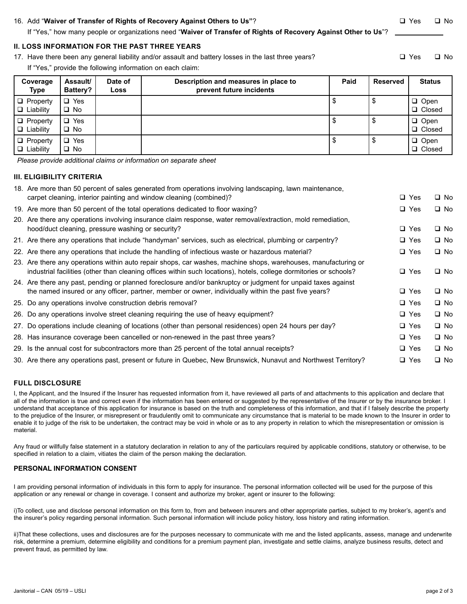### 16. Add "Waiver of Transfer of Rights of Recovery Against Others to Us"? **Accord Containery Against Others in Ves** q No

If "Yes," how many people or organizations need "**Waiver of Transfer of Rights of Recovery Against Other to Us**"?

#### **II. LOSS INFORMATION FOR THE PAST THREE YEARS**

17. Have there been any general liability and/or assault and battery losses in the last three years?  $\square$  Yes  $\square$  No

If "Yes," provide the following information on each claim:

| Coverage<br>Type                    | Assault/<br>Battery?       | Date of<br>Loss | Description and measures in place to<br>prevent future incidents | Paid | Reserved | <b>Status</b>                |
|-------------------------------------|----------------------------|-----------------|------------------------------------------------------------------|------|----------|------------------------------|
| $\Box$ Property<br>$\Box$ Liability | $\Box$ Yes<br>$\square$ No |                 |                                                                  | \$   | \$       | $\Box$ Open<br>$\Box$ Closed |
| $\Box$ Property<br>$\Box$ Liability | $\Box$ Yes<br>$\square$ No |                 |                                                                  | \$   | \$       | $\Box$ Open<br>$\Box$ Closed |
| $\Box$ Property<br>$\Box$ Liability | $\Box$ Yes<br>$\square$ No |                 |                                                                  | \$   | \$       | $\Box$ Open<br>$\Box$ Closed |

*Please provide additional claims or information on separate sheet*

#### **III. ELIGIBILITY CRITERIA**

| 18. Are more than 50 percent of sales generated from operations involving landscaping, lawn maintenance,<br>carpet cleaning, interior painting and window cleaning (combined)?                                                       | $\Box$ Yes | $\square$ No |
|--------------------------------------------------------------------------------------------------------------------------------------------------------------------------------------------------------------------------------------|------------|--------------|
| 19. Are more than 50 percent of the total operations dedicated to floor waxing?                                                                                                                                                      | $\Box$ Yes | $\Box$ No    |
| 20. Are there any operations involving insurance claim response, water removal/extraction, mold remediation,<br>hood/duct cleaning, pressure washing or security?                                                                    | $\Box$ Yes | $\square$ No |
| 21. Are there any operations that include "handyman" services, such as electrical, plumbing or carpentry?                                                                                                                            | $\Box$ Yes | $\Box$ No    |
| 22. Are there any operations that include the handling of infectious waste or hazardous material?                                                                                                                                    | $\Box$ Yes | $\Box$ No    |
| 23. Are there any operations within auto repair shops, car washes, machine shops, warehouses, manufacturing or<br>industrial facilities (other than cleaning offices within such locations), hotels, college dormitories or schools? | $\Box$ Yes | $\Box$ No    |
| 24. Are there any past, pending or planned foreclosure and/or bankruptcy or judgment for unpaid taxes against<br>the named insured or any officer, partner, member or owner, individually within the past five years?                | $\Box$ Yes | $\square$ No |
| 25. Do any operations involve construction debris removal?                                                                                                                                                                           | $\Box$ Yes | $\square$ No |
| 26. Do any operations involve street cleaning requiring the use of heavy equipment?                                                                                                                                                  | $\Box$ Yes | $\square$ No |
| 27. Do operations include cleaning of locations (other than personal residences) open 24 hours per day?                                                                                                                              | $\Box$ Yes | $\Box$ No    |
| 28. Has insurance coverage been cancelled or non-renewed in the past three years?                                                                                                                                                    | $\Box$ Yes | $\square$ No |
| 29. Is the annual cost for subcontractors more than 25 percent of the total annual receipts?                                                                                                                                         | $\Box$ Yes | $\Box$ No    |
| 30. Are there any operations past, present or future in Quebec, New Brunswick, Nunavut and Northwest Territory?                                                                                                                      | $\Box$ Yes | □ No         |
|                                                                                                                                                                                                                                      |            |              |

#### **FULL DISCLOSURE**

I, the Applicant, and the Insured if the Insurer has requested information from it, have reviewed all parts of and attachments to this application and declare that all of the information is true and correct even if the information has been entered or suggested by the representative of the Insurer or by the insurance broker. I understand that acceptance of this application for insurance is based on the truth and completeness of this information, and that if I falsely describe the property to the prejudice of the Insurer, or misrepresent or fraudulently omit to communicate any circumstance that is material to be made known to the Insurer in order to enable it to judge of the risk to be undertaken, the contract may be void in whole or as to any property in relation to which the misrepresentation or omission is material.

Any fraud or willfully false statement in a statutory declaration in relation to any of the particulars required by applicable conditions, statutory or otherwise, to be specified in relation to a claim, vitiates the claim of the person making the declaration.

#### **PERSONAL INFORMATION CONSENT**

I am providing personal information of individuals in this form to apply for insurance. The personal information collected will be used for the purpose of this application or any renewal or change in coverage. I consent and authorize my broker, agent or insurer to the following:

i)To collect, use and disclose personal information on this form to, from and between insurers and other appropriate parties, subject to my broker's, agent's and the insurer's policy regarding personal information. Such personal information will include policy history, loss history and rating information.

ii)That these collections, uses and disclosures are for the purposes necessary to communicate with me and the listed applicants, assess, manage and underwrite risk, determine a premium, determine eligibility and conditions for a premium payment plan, investigate and settle claims, analyze business results, detect and prevent fraud, as permitted by law.

Janitorial – CAN 05/19 – USLI page 2 of 3